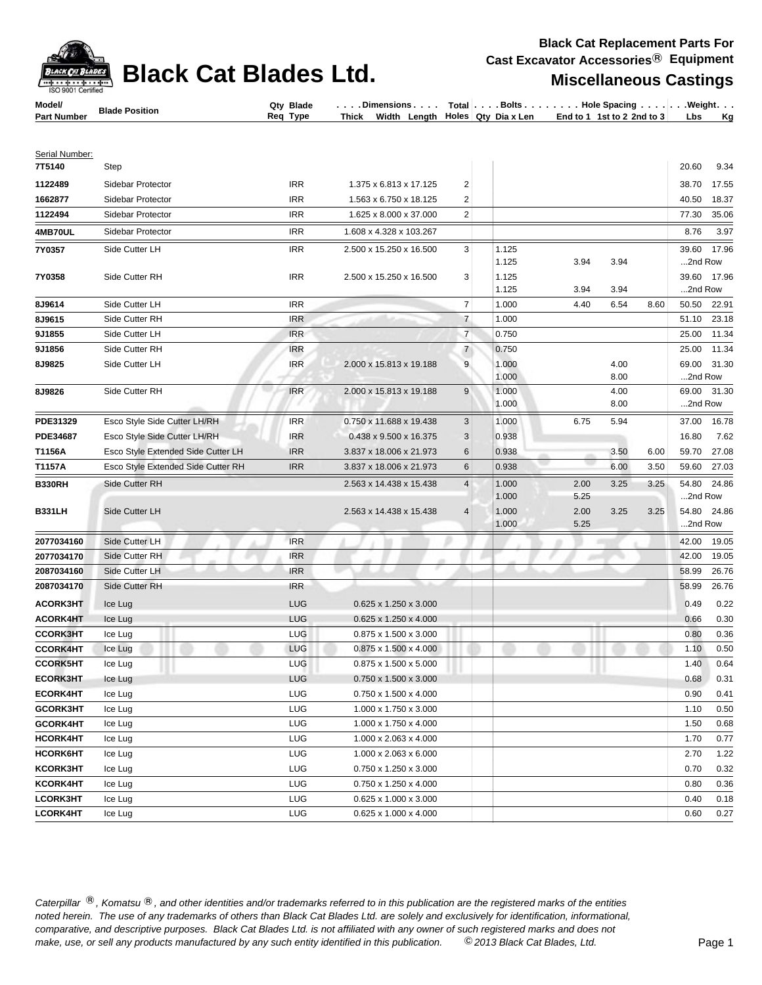| CK PAT           |
|------------------|
| O 9001 Certified |

## **Black Cat Blades Ltd. Miscellaneous Castings**

**Black Cat Replacement Parts For Cast Excavator Accessories**® **Equipment**

| Model/             | <b>Blade Position</b> | Blade<br>Qtv | . Dimensions   | Total ∣. | . Bolts .                  | Hole Spacing.                            | . Weight. . |    |
|--------------------|-----------------------|--------------|----------------|----------|----------------------------|------------------------------------------|-------------|----|
| <b>Part Number</b> |                       | Type<br>Req  | Width<br>Thick |          | Length Roles Qty Dia x Len | $\frac{1}{2}$ End to 1 1st to 2 2nd to 3 | <b>Lbs</b>  | Κa |

| Step<br>1122489<br>Sidebar Protector<br><b>IRR</b><br>1.375 x 6.813 x 17.125<br>2<br>38.70<br>17.55<br>$\overline{2}$<br>1662877<br>Sidebar Protector<br>IRR<br>1.563 x 6.750 x 18.125<br>40.50<br>18.37<br>Sidebar Protector<br><b>IRR</b><br>1.625 x 8.000 x 37.000<br>2<br>77.30<br>35.06<br>1122494<br>4MB70UL<br><b>IRR</b><br>1.608 x 4.328 x 103.267<br>8.76<br>3.97<br>Sidebar Protector<br>3<br>39.60<br>17.96<br>7Y0357<br>Side Cutter LH<br>IRR<br>2.500 x 15.250 x 16.500<br>1.125<br>2nd Row<br>1.125<br>3.94<br>3.94<br><b>IRR</b><br>3<br>39.60<br>17.96<br>Side Cutter RH<br>2.500 x 15.250 x 16.500<br>1.125<br>7Y0358<br>1.125<br>3.94<br>3.94<br>2nd Row<br>$\overline{7}$<br><b>IRR</b><br>8J9614<br>Side Cutter LH<br>1.000<br>4.40<br>6.54<br>8.60<br>50.50<br>22.91<br>Side Cutter RH<br><b>IRR</b><br>$\overline{7}$<br>8J9615<br>1.000<br>51.10<br>23.18<br>$\overline{7}$<br>0.750<br>9J1855<br>Side Cutter LH<br><b>IRR</b><br>25.00<br>11.34<br>Side Cutter RH<br>$\overline{7}$<br>9J1856<br><b>IRR</b><br>0.750<br>25.00<br>11.34<br>8J9825<br><b>IRR</b><br>9<br>1.000<br>4.00<br>69.00<br>31.30<br>Side Cutter LH<br>2.000 x 15.813 x 19.188<br>1.000<br>8.00<br>2nd Row<br>69.00 31.30<br>8J9826<br>Side Cutter RH<br><b>IRR</b><br>2.000 x 15.813 x 19.188<br>9<br>1.000<br>4.00<br>1.000<br>8.00<br>2nd Row<br>Esco Style Side Cutter LH/RH<br>3<br>16.78<br><b>IRR</b><br>0.750 x 11.688 x 19.438<br>1.000<br>6.75<br>5.94<br>37.00<br>PDE31329<br>3<br>7.62<br>PDE34687<br>Esco Style Side Cutter LH/RH<br><b>IRR</b><br>0.438 x 9.500 x 16.375<br>0.938<br>16.80<br>27.08<br>T1156A<br>Esco Style Extended Side Cutter LH<br><b>IRR</b><br>3.837 x 18.006 x 21.973<br>6<br>0.938<br>3.50<br>6.00<br>59.70<br>÷<br>T1157A<br>Esco Style Extended Side Cutter RH<br><b>IRR</b><br>3.837 x 18.006 x 21.973<br>6<br>0.938<br>6.00<br>3.50<br>59.60<br>27.03<br>54.80<br>24.86<br><b>B330RH</b><br>Side Cutter RH<br>2.563 x 14.438 x 15.438<br>$\overline{4}$<br>3.25<br>3.25<br>1.000<br>2.00<br>2nd Row<br>1.000<br>5.25<br>Side Cutter LH<br><b>B331LH</b><br>2.563 x 14.438 x 15.438<br>$\overline{4}$<br>2.00<br>3.25<br>3.25<br>54.80 24.86<br>1.000<br>5.25<br>2nd Row<br>1.000<br>Side Cutter LH<br><b>IRR</b><br>2077034160<br>42.00<br>19.05<br><b>IRR</b><br>2077034170<br>Side Cutter RH<br>42.00<br>19.05<br>Side Cutter LH<br><b>IRR</b><br>58.99<br>26.76<br>2087034160<br><b>IRR</b><br>2087034170<br>Side Cutter RH<br>58.99<br>26.76<br><b>LUG</b><br>0.22<br><b>ACORK3HT</b><br>0.625 x 1.250 x 3.000<br>0.49<br>Ice Lug<br><b>ACORK4HT</b><br><b>LUG</b><br>0.30<br>0.625 x 1.250 x 4.000<br>0.66<br>Ice Lug<br><b>CCORK3HT</b><br>LUG<br>0.36<br>Ice Lug<br>0.875 x 1.500 x 3.000<br>0.80<br><b>CCORK4HT</b><br>LUG<br>0.50<br>Ice Lug<br>0.875 x 1.500 x 4.000<br>1.10<br><b>CCORK5HT</b><br>LUG<br>0.875 x 1.500 x 5.000<br>1.40<br>0.64<br>Ice Lug<br><b>ECORK3HT</b><br><b>LUG</b><br>0.750 x 1.500 x 3.000<br>0.68<br>0.31<br>Ice Lug<br><b>LUG</b><br>0.750 x 1.500 x 4.000<br>0.90<br>0.41<br><b>ECORK4HT</b><br>Ice Lug<br>LUG<br>1.000 x 1.750 x 3.000<br>1.10<br>0.50<br>GCORK3HT<br>Ice Lug<br>GCORK4HT<br><b>LUG</b><br>1.000 x 1.750 x 4.000<br>0.68<br>Ice Lug<br>1.50<br><b>HCORK4HT</b><br><b>LUG</b><br>1.000 x 2.063 x 4.000<br>0.77<br>Ice Lug<br>1.70<br>HCORK6HT<br><b>LUG</b><br>1.000 x 2.063 x 6.000<br>Ice Lug<br>2.70<br>1.22<br>KCORK3HT<br><b>LUG</b><br>0.750 x 1.250 x 3.000<br>0.70<br>0.32<br>Ice Lug<br>KCORK4HT<br><b>LUG</b><br>0.750 x 1.250 x 4.000<br>0.80<br>0.36<br>Ice Lug<br><b>LUG</b><br>0.40<br>LCORK3HT<br>Ice Lug<br>0.625 x 1.000 x 3.000<br>0.18<br>LCORK4HT<br><b>LUG</b><br>0.625 x 1.000 x 4.000<br>0.60<br>0.27<br>Ice Lug | Serial Number: |  |  |  |               |  |
|----------------------------------------------------------------------------------------------------------------------------------------------------------------------------------------------------------------------------------------------------------------------------------------------------------------------------------------------------------------------------------------------------------------------------------------------------------------------------------------------------------------------------------------------------------------------------------------------------------------------------------------------------------------------------------------------------------------------------------------------------------------------------------------------------------------------------------------------------------------------------------------------------------------------------------------------------------------------------------------------------------------------------------------------------------------------------------------------------------------------------------------------------------------------------------------------------------------------------------------------------------------------------------------------------------------------------------------------------------------------------------------------------------------------------------------------------------------------------------------------------------------------------------------------------------------------------------------------------------------------------------------------------------------------------------------------------------------------------------------------------------------------------------------------------------------------------------------------------------------------------------------------------------------------------------------------------------------------------------------------------------------------------------------------------------------------------------------------------------------------------------------------------------------------------------------------------------------------------------------------------------------------------------------------------------------------------------------------------------------------------------------------------------------------------------------------------------------------------------------------------------------------------------------------------------------------------------------------------------------------------------------------------------------------------------------------------------------------------------------------------------------------------------------------------------------------------------------------------------------------------------------------------------------------------------------------------------------------------------------------------------------------------------------------------------------------------------------------------------------------------------------------------------------------------------------------------------------------------------------------------------------------------------------------------------------------------------------------------------------------------------------------------------------------------------------------------------------------------------------------------------------------------------------------------------------------------------------------------------------------------------------------------------------------------------------------------------------------------------------|----------------|--|--|--|---------------|--|
|                                                                                                                                                                                                                                                                                                                                                                                                                                                                                                                                                                                                                                                                                                                                                                                                                                                                                                                                                                                                                                                                                                                                                                                                                                                                                                                                                                                                                                                                                                                                                                                                                                                                                                                                                                                                                                                                                                                                                                                                                                                                                                                                                                                                                                                                                                                                                                                                                                                                                                                                                                                                                                                                                                                                                                                                                                                                                                                                                                                                                                                                                                                                                                                                                                                                                                                                                                                                                                                                                                                                                                                                                                                                                                                                        | 7T5140         |  |  |  | 20.60<br>9.34 |  |
|                                                                                                                                                                                                                                                                                                                                                                                                                                                                                                                                                                                                                                                                                                                                                                                                                                                                                                                                                                                                                                                                                                                                                                                                                                                                                                                                                                                                                                                                                                                                                                                                                                                                                                                                                                                                                                                                                                                                                                                                                                                                                                                                                                                                                                                                                                                                                                                                                                                                                                                                                                                                                                                                                                                                                                                                                                                                                                                                                                                                                                                                                                                                                                                                                                                                                                                                                                                                                                                                                                                                                                                                                                                                                                                                        |                |  |  |  |               |  |
|                                                                                                                                                                                                                                                                                                                                                                                                                                                                                                                                                                                                                                                                                                                                                                                                                                                                                                                                                                                                                                                                                                                                                                                                                                                                                                                                                                                                                                                                                                                                                                                                                                                                                                                                                                                                                                                                                                                                                                                                                                                                                                                                                                                                                                                                                                                                                                                                                                                                                                                                                                                                                                                                                                                                                                                                                                                                                                                                                                                                                                                                                                                                                                                                                                                                                                                                                                                                                                                                                                                                                                                                                                                                                                                                        |                |  |  |  |               |  |
|                                                                                                                                                                                                                                                                                                                                                                                                                                                                                                                                                                                                                                                                                                                                                                                                                                                                                                                                                                                                                                                                                                                                                                                                                                                                                                                                                                                                                                                                                                                                                                                                                                                                                                                                                                                                                                                                                                                                                                                                                                                                                                                                                                                                                                                                                                                                                                                                                                                                                                                                                                                                                                                                                                                                                                                                                                                                                                                                                                                                                                                                                                                                                                                                                                                                                                                                                                                                                                                                                                                                                                                                                                                                                                                                        |                |  |  |  |               |  |
|                                                                                                                                                                                                                                                                                                                                                                                                                                                                                                                                                                                                                                                                                                                                                                                                                                                                                                                                                                                                                                                                                                                                                                                                                                                                                                                                                                                                                                                                                                                                                                                                                                                                                                                                                                                                                                                                                                                                                                                                                                                                                                                                                                                                                                                                                                                                                                                                                                                                                                                                                                                                                                                                                                                                                                                                                                                                                                                                                                                                                                                                                                                                                                                                                                                                                                                                                                                                                                                                                                                                                                                                                                                                                                                                        |                |  |  |  |               |  |
|                                                                                                                                                                                                                                                                                                                                                                                                                                                                                                                                                                                                                                                                                                                                                                                                                                                                                                                                                                                                                                                                                                                                                                                                                                                                                                                                                                                                                                                                                                                                                                                                                                                                                                                                                                                                                                                                                                                                                                                                                                                                                                                                                                                                                                                                                                                                                                                                                                                                                                                                                                                                                                                                                                                                                                                                                                                                                                                                                                                                                                                                                                                                                                                                                                                                                                                                                                                                                                                                                                                                                                                                                                                                                                                                        |                |  |  |  |               |  |
|                                                                                                                                                                                                                                                                                                                                                                                                                                                                                                                                                                                                                                                                                                                                                                                                                                                                                                                                                                                                                                                                                                                                                                                                                                                                                                                                                                                                                                                                                                                                                                                                                                                                                                                                                                                                                                                                                                                                                                                                                                                                                                                                                                                                                                                                                                                                                                                                                                                                                                                                                                                                                                                                                                                                                                                                                                                                                                                                                                                                                                                                                                                                                                                                                                                                                                                                                                                                                                                                                                                                                                                                                                                                                                                                        |                |  |  |  |               |  |
|                                                                                                                                                                                                                                                                                                                                                                                                                                                                                                                                                                                                                                                                                                                                                                                                                                                                                                                                                                                                                                                                                                                                                                                                                                                                                                                                                                                                                                                                                                                                                                                                                                                                                                                                                                                                                                                                                                                                                                                                                                                                                                                                                                                                                                                                                                                                                                                                                                                                                                                                                                                                                                                                                                                                                                                                                                                                                                                                                                                                                                                                                                                                                                                                                                                                                                                                                                                                                                                                                                                                                                                                                                                                                                                                        |                |  |  |  |               |  |
|                                                                                                                                                                                                                                                                                                                                                                                                                                                                                                                                                                                                                                                                                                                                                                                                                                                                                                                                                                                                                                                                                                                                                                                                                                                                                                                                                                                                                                                                                                                                                                                                                                                                                                                                                                                                                                                                                                                                                                                                                                                                                                                                                                                                                                                                                                                                                                                                                                                                                                                                                                                                                                                                                                                                                                                                                                                                                                                                                                                                                                                                                                                                                                                                                                                                                                                                                                                                                                                                                                                                                                                                                                                                                                                                        |                |  |  |  |               |  |
|                                                                                                                                                                                                                                                                                                                                                                                                                                                                                                                                                                                                                                                                                                                                                                                                                                                                                                                                                                                                                                                                                                                                                                                                                                                                                                                                                                                                                                                                                                                                                                                                                                                                                                                                                                                                                                                                                                                                                                                                                                                                                                                                                                                                                                                                                                                                                                                                                                                                                                                                                                                                                                                                                                                                                                                                                                                                                                                                                                                                                                                                                                                                                                                                                                                                                                                                                                                                                                                                                                                                                                                                                                                                                                                                        |                |  |  |  |               |  |
|                                                                                                                                                                                                                                                                                                                                                                                                                                                                                                                                                                                                                                                                                                                                                                                                                                                                                                                                                                                                                                                                                                                                                                                                                                                                                                                                                                                                                                                                                                                                                                                                                                                                                                                                                                                                                                                                                                                                                                                                                                                                                                                                                                                                                                                                                                                                                                                                                                                                                                                                                                                                                                                                                                                                                                                                                                                                                                                                                                                                                                                                                                                                                                                                                                                                                                                                                                                                                                                                                                                                                                                                                                                                                                                                        |                |  |  |  |               |  |
|                                                                                                                                                                                                                                                                                                                                                                                                                                                                                                                                                                                                                                                                                                                                                                                                                                                                                                                                                                                                                                                                                                                                                                                                                                                                                                                                                                                                                                                                                                                                                                                                                                                                                                                                                                                                                                                                                                                                                                                                                                                                                                                                                                                                                                                                                                                                                                                                                                                                                                                                                                                                                                                                                                                                                                                                                                                                                                                                                                                                                                                                                                                                                                                                                                                                                                                                                                                                                                                                                                                                                                                                                                                                                                                                        |                |  |  |  |               |  |
|                                                                                                                                                                                                                                                                                                                                                                                                                                                                                                                                                                                                                                                                                                                                                                                                                                                                                                                                                                                                                                                                                                                                                                                                                                                                                                                                                                                                                                                                                                                                                                                                                                                                                                                                                                                                                                                                                                                                                                                                                                                                                                                                                                                                                                                                                                                                                                                                                                                                                                                                                                                                                                                                                                                                                                                                                                                                                                                                                                                                                                                                                                                                                                                                                                                                                                                                                                                                                                                                                                                                                                                                                                                                                                                                        |                |  |  |  |               |  |
|                                                                                                                                                                                                                                                                                                                                                                                                                                                                                                                                                                                                                                                                                                                                                                                                                                                                                                                                                                                                                                                                                                                                                                                                                                                                                                                                                                                                                                                                                                                                                                                                                                                                                                                                                                                                                                                                                                                                                                                                                                                                                                                                                                                                                                                                                                                                                                                                                                                                                                                                                                                                                                                                                                                                                                                                                                                                                                                                                                                                                                                                                                                                                                                                                                                                                                                                                                                                                                                                                                                                                                                                                                                                                                                                        |                |  |  |  |               |  |
|                                                                                                                                                                                                                                                                                                                                                                                                                                                                                                                                                                                                                                                                                                                                                                                                                                                                                                                                                                                                                                                                                                                                                                                                                                                                                                                                                                                                                                                                                                                                                                                                                                                                                                                                                                                                                                                                                                                                                                                                                                                                                                                                                                                                                                                                                                                                                                                                                                                                                                                                                                                                                                                                                                                                                                                                                                                                                                                                                                                                                                                                                                                                                                                                                                                                                                                                                                                                                                                                                                                                                                                                                                                                                                                                        |                |  |  |  |               |  |
|                                                                                                                                                                                                                                                                                                                                                                                                                                                                                                                                                                                                                                                                                                                                                                                                                                                                                                                                                                                                                                                                                                                                                                                                                                                                                                                                                                                                                                                                                                                                                                                                                                                                                                                                                                                                                                                                                                                                                                                                                                                                                                                                                                                                                                                                                                                                                                                                                                                                                                                                                                                                                                                                                                                                                                                                                                                                                                                                                                                                                                                                                                                                                                                                                                                                                                                                                                                                                                                                                                                                                                                                                                                                                                                                        |                |  |  |  |               |  |
|                                                                                                                                                                                                                                                                                                                                                                                                                                                                                                                                                                                                                                                                                                                                                                                                                                                                                                                                                                                                                                                                                                                                                                                                                                                                                                                                                                                                                                                                                                                                                                                                                                                                                                                                                                                                                                                                                                                                                                                                                                                                                                                                                                                                                                                                                                                                                                                                                                                                                                                                                                                                                                                                                                                                                                                                                                                                                                                                                                                                                                                                                                                                                                                                                                                                                                                                                                                                                                                                                                                                                                                                                                                                                                                                        |                |  |  |  |               |  |
|                                                                                                                                                                                                                                                                                                                                                                                                                                                                                                                                                                                                                                                                                                                                                                                                                                                                                                                                                                                                                                                                                                                                                                                                                                                                                                                                                                                                                                                                                                                                                                                                                                                                                                                                                                                                                                                                                                                                                                                                                                                                                                                                                                                                                                                                                                                                                                                                                                                                                                                                                                                                                                                                                                                                                                                                                                                                                                                                                                                                                                                                                                                                                                                                                                                                                                                                                                                                                                                                                                                                                                                                                                                                                                                                        |                |  |  |  |               |  |
|                                                                                                                                                                                                                                                                                                                                                                                                                                                                                                                                                                                                                                                                                                                                                                                                                                                                                                                                                                                                                                                                                                                                                                                                                                                                                                                                                                                                                                                                                                                                                                                                                                                                                                                                                                                                                                                                                                                                                                                                                                                                                                                                                                                                                                                                                                                                                                                                                                                                                                                                                                                                                                                                                                                                                                                                                                                                                                                                                                                                                                                                                                                                                                                                                                                                                                                                                                                                                                                                                                                                                                                                                                                                                                                                        |                |  |  |  |               |  |
|                                                                                                                                                                                                                                                                                                                                                                                                                                                                                                                                                                                                                                                                                                                                                                                                                                                                                                                                                                                                                                                                                                                                                                                                                                                                                                                                                                                                                                                                                                                                                                                                                                                                                                                                                                                                                                                                                                                                                                                                                                                                                                                                                                                                                                                                                                                                                                                                                                                                                                                                                                                                                                                                                                                                                                                                                                                                                                                                                                                                                                                                                                                                                                                                                                                                                                                                                                                                                                                                                                                                                                                                                                                                                                                                        |                |  |  |  |               |  |
|                                                                                                                                                                                                                                                                                                                                                                                                                                                                                                                                                                                                                                                                                                                                                                                                                                                                                                                                                                                                                                                                                                                                                                                                                                                                                                                                                                                                                                                                                                                                                                                                                                                                                                                                                                                                                                                                                                                                                                                                                                                                                                                                                                                                                                                                                                                                                                                                                                                                                                                                                                                                                                                                                                                                                                                                                                                                                                                                                                                                                                                                                                                                                                                                                                                                                                                                                                                                                                                                                                                                                                                                                                                                                                                                        |                |  |  |  |               |  |
|                                                                                                                                                                                                                                                                                                                                                                                                                                                                                                                                                                                                                                                                                                                                                                                                                                                                                                                                                                                                                                                                                                                                                                                                                                                                                                                                                                                                                                                                                                                                                                                                                                                                                                                                                                                                                                                                                                                                                                                                                                                                                                                                                                                                                                                                                                                                                                                                                                                                                                                                                                                                                                                                                                                                                                                                                                                                                                                                                                                                                                                                                                                                                                                                                                                                                                                                                                                                                                                                                                                                                                                                                                                                                                                                        |                |  |  |  |               |  |
|                                                                                                                                                                                                                                                                                                                                                                                                                                                                                                                                                                                                                                                                                                                                                                                                                                                                                                                                                                                                                                                                                                                                                                                                                                                                                                                                                                                                                                                                                                                                                                                                                                                                                                                                                                                                                                                                                                                                                                                                                                                                                                                                                                                                                                                                                                                                                                                                                                                                                                                                                                                                                                                                                                                                                                                                                                                                                                                                                                                                                                                                                                                                                                                                                                                                                                                                                                                                                                                                                                                                                                                                                                                                                                                                        |                |  |  |  |               |  |
|                                                                                                                                                                                                                                                                                                                                                                                                                                                                                                                                                                                                                                                                                                                                                                                                                                                                                                                                                                                                                                                                                                                                                                                                                                                                                                                                                                                                                                                                                                                                                                                                                                                                                                                                                                                                                                                                                                                                                                                                                                                                                                                                                                                                                                                                                                                                                                                                                                                                                                                                                                                                                                                                                                                                                                                                                                                                                                                                                                                                                                                                                                                                                                                                                                                                                                                                                                                                                                                                                                                                                                                                                                                                                                                                        |                |  |  |  |               |  |
|                                                                                                                                                                                                                                                                                                                                                                                                                                                                                                                                                                                                                                                                                                                                                                                                                                                                                                                                                                                                                                                                                                                                                                                                                                                                                                                                                                                                                                                                                                                                                                                                                                                                                                                                                                                                                                                                                                                                                                                                                                                                                                                                                                                                                                                                                                                                                                                                                                                                                                                                                                                                                                                                                                                                                                                                                                                                                                                                                                                                                                                                                                                                                                                                                                                                                                                                                                                                                                                                                                                                                                                                                                                                                                                                        |                |  |  |  |               |  |
|                                                                                                                                                                                                                                                                                                                                                                                                                                                                                                                                                                                                                                                                                                                                                                                                                                                                                                                                                                                                                                                                                                                                                                                                                                                                                                                                                                                                                                                                                                                                                                                                                                                                                                                                                                                                                                                                                                                                                                                                                                                                                                                                                                                                                                                                                                                                                                                                                                                                                                                                                                                                                                                                                                                                                                                                                                                                                                                                                                                                                                                                                                                                                                                                                                                                                                                                                                                                                                                                                                                                                                                                                                                                                                                                        |                |  |  |  |               |  |
|                                                                                                                                                                                                                                                                                                                                                                                                                                                                                                                                                                                                                                                                                                                                                                                                                                                                                                                                                                                                                                                                                                                                                                                                                                                                                                                                                                                                                                                                                                                                                                                                                                                                                                                                                                                                                                                                                                                                                                                                                                                                                                                                                                                                                                                                                                                                                                                                                                                                                                                                                                                                                                                                                                                                                                                                                                                                                                                                                                                                                                                                                                                                                                                                                                                                                                                                                                                                                                                                                                                                                                                                                                                                                                                                        |                |  |  |  |               |  |
|                                                                                                                                                                                                                                                                                                                                                                                                                                                                                                                                                                                                                                                                                                                                                                                                                                                                                                                                                                                                                                                                                                                                                                                                                                                                                                                                                                                                                                                                                                                                                                                                                                                                                                                                                                                                                                                                                                                                                                                                                                                                                                                                                                                                                                                                                                                                                                                                                                                                                                                                                                                                                                                                                                                                                                                                                                                                                                                                                                                                                                                                                                                                                                                                                                                                                                                                                                                                                                                                                                                                                                                                                                                                                                                                        |                |  |  |  |               |  |
|                                                                                                                                                                                                                                                                                                                                                                                                                                                                                                                                                                                                                                                                                                                                                                                                                                                                                                                                                                                                                                                                                                                                                                                                                                                                                                                                                                                                                                                                                                                                                                                                                                                                                                                                                                                                                                                                                                                                                                                                                                                                                                                                                                                                                                                                                                                                                                                                                                                                                                                                                                                                                                                                                                                                                                                                                                                                                                                                                                                                                                                                                                                                                                                                                                                                                                                                                                                                                                                                                                                                                                                                                                                                                                                                        |                |  |  |  |               |  |
|                                                                                                                                                                                                                                                                                                                                                                                                                                                                                                                                                                                                                                                                                                                                                                                                                                                                                                                                                                                                                                                                                                                                                                                                                                                                                                                                                                                                                                                                                                                                                                                                                                                                                                                                                                                                                                                                                                                                                                                                                                                                                                                                                                                                                                                                                                                                                                                                                                                                                                                                                                                                                                                                                                                                                                                                                                                                                                                                                                                                                                                                                                                                                                                                                                                                                                                                                                                                                                                                                                                                                                                                                                                                                                                                        |                |  |  |  |               |  |
|                                                                                                                                                                                                                                                                                                                                                                                                                                                                                                                                                                                                                                                                                                                                                                                                                                                                                                                                                                                                                                                                                                                                                                                                                                                                                                                                                                                                                                                                                                                                                                                                                                                                                                                                                                                                                                                                                                                                                                                                                                                                                                                                                                                                                                                                                                                                                                                                                                                                                                                                                                                                                                                                                                                                                                                                                                                                                                                                                                                                                                                                                                                                                                                                                                                                                                                                                                                                                                                                                                                                                                                                                                                                                                                                        |                |  |  |  |               |  |
|                                                                                                                                                                                                                                                                                                                                                                                                                                                                                                                                                                                                                                                                                                                                                                                                                                                                                                                                                                                                                                                                                                                                                                                                                                                                                                                                                                                                                                                                                                                                                                                                                                                                                                                                                                                                                                                                                                                                                                                                                                                                                                                                                                                                                                                                                                                                                                                                                                                                                                                                                                                                                                                                                                                                                                                                                                                                                                                                                                                                                                                                                                                                                                                                                                                                                                                                                                                                                                                                                                                                                                                                                                                                                                                                        |                |  |  |  |               |  |
|                                                                                                                                                                                                                                                                                                                                                                                                                                                                                                                                                                                                                                                                                                                                                                                                                                                                                                                                                                                                                                                                                                                                                                                                                                                                                                                                                                                                                                                                                                                                                                                                                                                                                                                                                                                                                                                                                                                                                                                                                                                                                                                                                                                                                                                                                                                                                                                                                                                                                                                                                                                                                                                                                                                                                                                                                                                                                                                                                                                                                                                                                                                                                                                                                                                                                                                                                                                                                                                                                                                                                                                                                                                                                                                                        |                |  |  |  |               |  |
|                                                                                                                                                                                                                                                                                                                                                                                                                                                                                                                                                                                                                                                                                                                                                                                                                                                                                                                                                                                                                                                                                                                                                                                                                                                                                                                                                                                                                                                                                                                                                                                                                                                                                                                                                                                                                                                                                                                                                                                                                                                                                                                                                                                                                                                                                                                                                                                                                                                                                                                                                                                                                                                                                                                                                                                                                                                                                                                                                                                                                                                                                                                                                                                                                                                                                                                                                                                                                                                                                                                                                                                                                                                                                                                                        |                |  |  |  |               |  |
|                                                                                                                                                                                                                                                                                                                                                                                                                                                                                                                                                                                                                                                                                                                                                                                                                                                                                                                                                                                                                                                                                                                                                                                                                                                                                                                                                                                                                                                                                                                                                                                                                                                                                                                                                                                                                                                                                                                                                                                                                                                                                                                                                                                                                                                                                                                                                                                                                                                                                                                                                                                                                                                                                                                                                                                                                                                                                                                                                                                                                                                                                                                                                                                                                                                                                                                                                                                                                                                                                                                                                                                                                                                                                                                                        |                |  |  |  |               |  |
|                                                                                                                                                                                                                                                                                                                                                                                                                                                                                                                                                                                                                                                                                                                                                                                                                                                                                                                                                                                                                                                                                                                                                                                                                                                                                                                                                                                                                                                                                                                                                                                                                                                                                                                                                                                                                                                                                                                                                                                                                                                                                                                                                                                                                                                                                                                                                                                                                                                                                                                                                                                                                                                                                                                                                                                                                                                                                                                                                                                                                                                                                                                                                                                                                                                                                                                                                                                                                                                                                                                                                                                                                                                                                                                                        |                |  |  |  |               |  |
|                                                                                                                                                                                                                                                                                                                                                                                                                                                                                                                                                                                                                                                                                                                                                                                                                                                                                                                                                                                                                                                                                                                                                                                                                                                                                                                                                                                                                                                                                                                                                                                                                                                                                                                                                                                                                                                                                                                                                                                                                                                                                                                                                                                                                                                                                                                                                                                                                                                                                                                                                                                                                                                                                                                                                                                                                                                                                                                                                                                                                                                                                                                                                                                                                                                                                                                                                                                                                                                                                                                                                                                                                                                                                                                                        |                |  |  |  |               |  |
|                                                                                                                                                                                                                                                                                                                                                                                                                                                                                                                                                                                                                                                                                                                                                                                                                                                                                                                                                                                                                                                                                                                                                                                                                                                                                                                                                                                                                                                                                                                                                                                                                                                                                                                                                                                                                                                                                                                                                                                                                                                                                                                                                                                                                                                                                                                                                                                                                                                                                                                                                                                                                                                                                                                                                                                                                                                                                                                                                                                                                                                                                                                                                                                                                                                                                                                                                                                                                                                                                                                                                                                                                                                                                                                                        |                |  |  |  |               |  |

Caterpillar ®, Komatsu ®, and other identities and/or trademarks referred to in this publication are the registered marks of the entities *noted herein. The use of any trademarks of others than Black Cat Blades Ltd. are solely and exclusively for identification, informational, make, use, or sell any products manufactured by any such entity identified in this publication. comparative, and descriptive purposes. Black Cat Blades Ltd. is not affiliated with any owner of such registered marks and does not* ©*2013 Black Cat Blades, Ltd.* Page 1